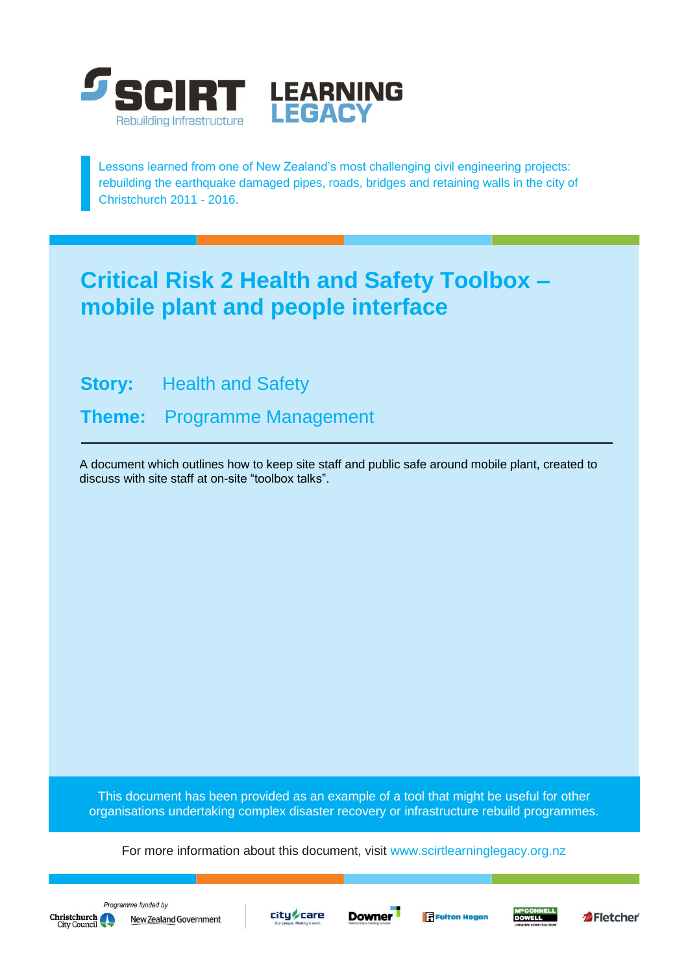

Lessons learned from one of New Zealand's most challenging civil engineering projects: rebuilding the earthquake damaged pipes, roads, bridges and retaining walls in the city of Christchurch 2011 - 2016.

## **Critical Risk 2 Health and Safety Toolbox – mobile plant and people interface**

**Story:** Health and Safety

**Theme:** Programme Management

A document which outlines how to keep site staff and public safe around mobile plant, created to discuss with site staff at on-site "toolbox talks".

This document has been provided as an example of a tool that might be useful for other organisations undertaking complex disaster recovery or infrastructure rebuild programmes.

For more information about this document, visit [www.scirtlearninglegacy.org.nz](http://www.scirtlearninglegacy.org.nz/)







**Fi** Fulton Hogan



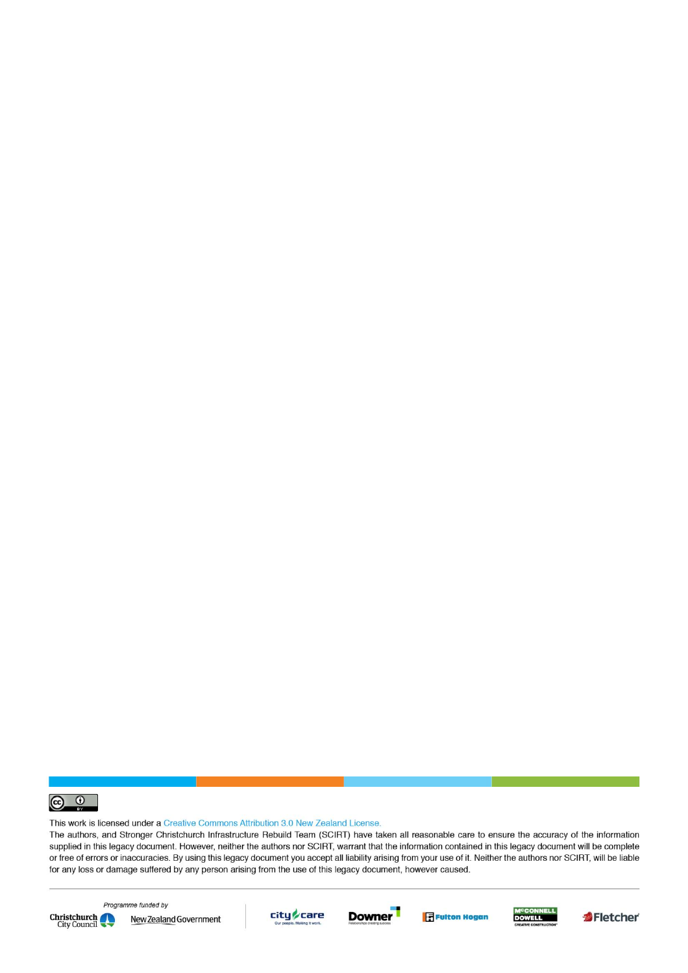

This work is licensed under a Creative Commons Attribution 3.0 New Zealand License.

The authors, and Stronger Christchurch Infrastructure Rebuild Team (SCIRT) have taken all reasonable care to ensure the accuracy of the information supplied in this legacy document. However, neither the authors nor SCIRT, warrant that the information contained in this legacy document will be complete or free of errors or inaccuracies. By using this legacy document you accept all liability arising from your use of it. Neither the authors nor SCIRT, will be liable for any loss or damage suffered by any person arising from the use of this legacy document, however caused.



Programme funded by New Zealand Government









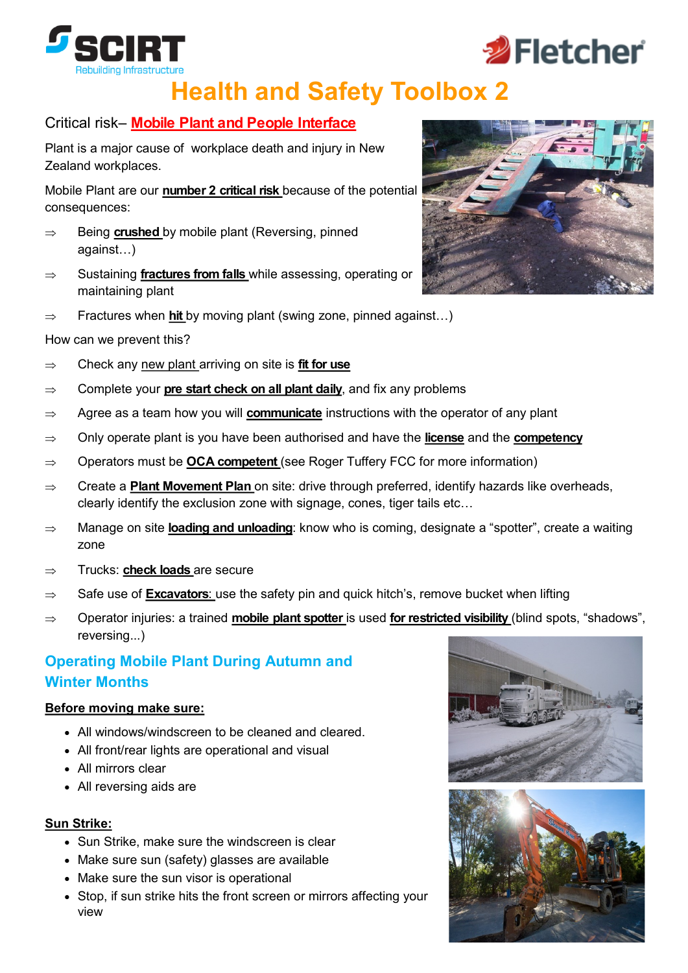

# **Health and Safety Toolbox 2**

#### Critical risk– **Mobile Plant and People Interface**

Plant is a major cause of workplace death and injury in New Zealand workplaces.

Mobile Plant are our **number 2 critical risk** because of the potential consequences:

- $\Rightarrow$  Being **crushed** by mobile plant (Reversing, pinned against…)
- Sustaining **fractures from falls** while assessing, operating or maintaining plant
- $\Rightarrow$  Fractures when **hit** by moving plant (swing zone, pinned against...)

#### How can we prevent this?

- $\Rightarrow$  Check any new plant arriving on site is **fit for use**
- $\Rightarrow$  Complete your **pre start check on all plant daily**, and fix any problems
- ⇒ Agree as a team how you will **communicate** instructions with the operator of any plant
- Only operate plant is you have been authorised and have the **license** and the **competency**
- $\Rightarrow$  Operators must be **OCA competent** (see Roger Tuffery FCC for more information)
- $\Rightarrow$  Create a **Plant Movement Plan** on site: drive through preferred, identify hazards like overheads, clearly identify the exclusion zone with signage, cones, tiger tails etc…
- Manage on site **loading and unloading**: know who is coming, designate a "spotter", create a waiting zone
- ⇒ Trucks: **check loads** are secure
- $\Rightarrow$  Safe use of **Excavators**: use the safety pin and quick hitch's, remove bucket when lifting
- Operator injuries: a trained **mobile plant spotter** is used **for restricted visibility** (blind spots, "shadows", reversing...)

#### **Operating Mobile Plant During Autumn and Winter Months**

#### **Before moving make sure:**

- All windows/windscreen to be cleaned and cleared.
- All front/rear lights are operational and visual
- All mirrors clear
- All reversing aids are

#### **Sun Strike:**

- Sun Strike, make sure the windscreen is clear
- Make sure sun (safety) glasses are available
- Make sure the sun visor is operational
- Stop, if sun strike hits the front screen or mirrors affecting your view